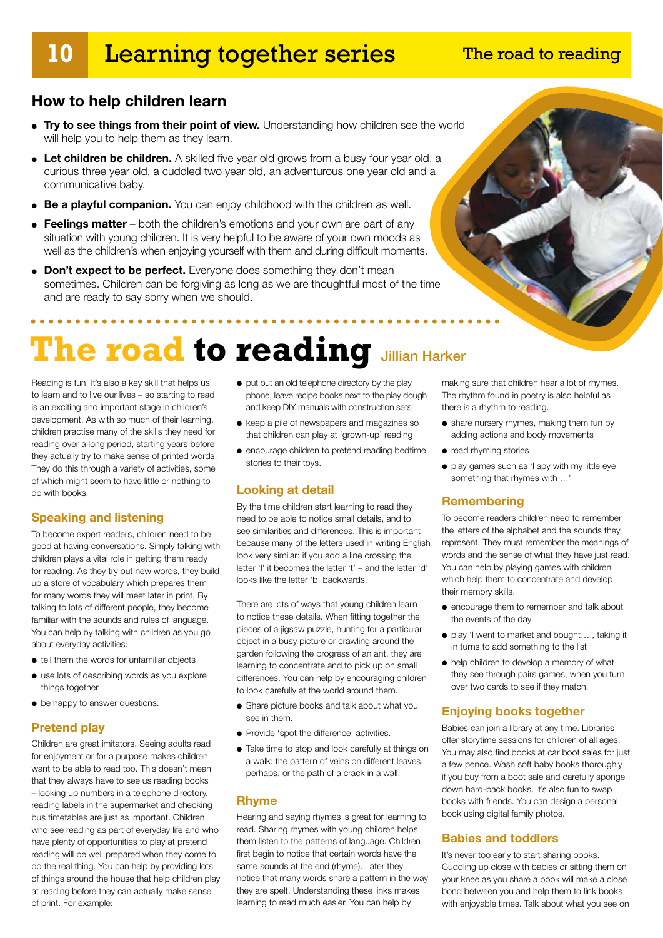### **10** Learning together series

### The road to reading

### **How to help children learn**

- **Try to see things from their point of view.** Understanding how children see the world will help you to help them as they learn.
- Let children be children. A skilled five year old grows from a busy four year old, a curious three year old, a cuddled two year old, an adventurous one year old and a communicative baby.
- **Be a playful companion.** You can enjoy childhood with the children as well.
- **Feelings matter** both the children's emotions and your own are part of any situation with young children. It is very helpful to be aware of your own moods as well as the children's when enjoying yourself with them and during difficult moments.
- **Don't expect to be perfect.** Everyone does something they don't mean sometimes. Children can be forgiving as long as we are thoughtful most of the time and are ready to say sorry when we should.

# **The road to reading Jillian Harker**

Reading is fun. It's also a key skill that helps us to learn and to live our lives – so starting to read is an exciting and important stage in children's development. As with so much of their learning, children practise many of the skills they need for reading over a long period, starting years before they actually try to make sense of printed words. They do this through a variety of activities, some of which might seem to have little or nothing to do with books.

### **Speaking and listening**

To become expert readers, children need to be good at having conversations. Simply talking with children plays a vital role in getting them ready for reading. As they try out new words, they build up a store of vocabulary which prepares them for many words they will meet later in print. By talking to lots of different people, they become familiar with the sounds and rules of language. You can help by talking with children as you go about everyday activities:

- tell them the words for unfamiliar objects
- use lots of describing words as you explore things together
- be happy to answer questions.

### **Pretend play**

Children are great imitators. Seeing adults read for enjoyment or for a purpose makes children want to be able to read too. This doesn't mean that they always have to see us reading books – looking up numbers in a telephone directory, reading labels in the supermarket and checking bus timetables are just as important. Children who see reading as part of everyday life and who have plenty of opportunities to play at pretend reading will be well prepared when they come to do the real thing. You can help by providing lots of things around the house that help children play at reading before they can actually make sense of print. For example:

- put out an old telephone directory by the play phone, leave recipe books next to the play dough and keep DIY manuals with construction sets
- keep a pile of newspapers and magazines so that children can play at 'grown-up' reading
- encourage children to pretend reading bedtime stories to their toys.

### **Looking at detail**

By the time children start learning to read they need to be able to notice small details, and to see similarities and differences. This is important because many of the letters used in writing English look very similar: if you add a line crossing the letter 'l' it becomes the letter 't' – and the letter 'd' looks like the letter 'b' backwards.

There are lots of ways that young children learn to notice these details. When fitting together the pieces of a jigsaw puzzle, hunting for a particular object in a busy picture or crawling around the garden following the progress of an ant, they are learning to concentrate and to pick up on small differences. You can help by encouraging children to look carefully at the world around them.

- Share picture books and talk about what you see in them.
- Provide 'spot the difference' activities.
- Take time to stop and look carefully at things on a walk: the pattern of veins on different leaves, perhaps, or the path of a crack in a wall.

### **Rhyme**

Hearing and saying rhymes is great for learning to read. Sharing rhymes with young children helps them listen to the patterns of language. Children first begin to notice that certain words have the same sounds at the end (rhyme). Later they notice that many words share a pattern in the way they are spelt. Understanding these links makes learning to read much easier. You can help by

making sure that children hear a lot of rhymes. The rhythm found in poetry is also helpful as there is a rhythm to reading.

- share nursery rhymes, making them fun by adding actions and body movements
- read rhyming stories
- play games such as 'I spy with my little eye something that rhymes with …'

### **Remembering**

To become readers children need to remember the letters of the alphabet and the sounds they represent. They must remember the meanings of words and the sense of what they have just read. You can help by playing games with children which help them to concentrate and develop their memory skills.

- encourage them to remember and talk about the events of the day
- play 'I went to market and bought…', taking it in turns to add something to the list
- help children to develop a memory of what they see through pairs games, when you turn over two cards to see if they match.

### **Enjoying books together**

Babies can join a library at any time. Libraries offer storytime sessions for children of all ages. You may also find books at car boot sales for just a few pence. Wash soft baby books thoroughly if you buy from a boot sale and carefully sponge down hard-back books. It's also fun to swap books with friends. You can design a personal book using digital family photos.

### **Babies and toddlers**

It's never too early to start sharing books. Cuddling up close with babies or sitting them on your knee as you share a book will make a close bond between you and help them to link books with enjoyable times. Talk about what you see on